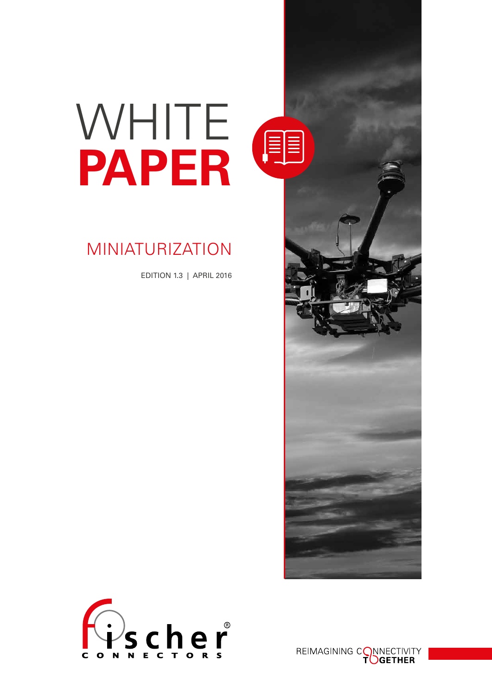# WHITE **PAPER**

# MINIATURIZATION

EDITION 1.3 | APRIL 2016





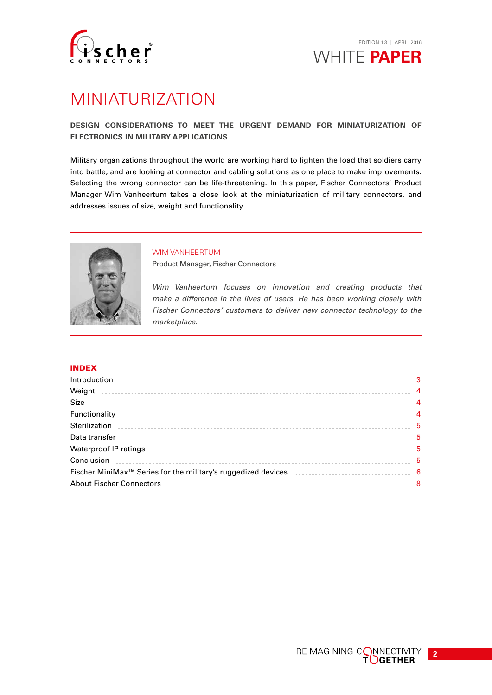

# MINIATURIZATION

# **DESIGN CONSIDERATIONS TO MEET THE URGENT DEMAND FOR MINIATURIZATION OF ELECTRONICS IN MILITARY APPLICATIONS**

Military organizations throughout the world are working hard to lighten the load that soldiers carry into battle, and are looking at connector and cabling solutions as one place to make improvements. Selecting the wrong connector can be life-threatening. In this paper, Fischer Connectors' Product Manager Wim Vanheertum takes a close look at the miniaturization of military connectors, and addresses issues of size, weight and functionality.



# WIM VANHEERTUM

Product Manager, Fischer Connectors

*Wim Vanheertum focuses on innovation and creating products that make a difference in the lives of users. He has been working closely with Fischer Connectors' customers to deliver new connector technology to the marketplace.*

# INDEX

| Introduction                                                                                                                                                                                                                   | 3 |
|--------------------------------------------------------------------------------------------------------------------------------------------------------------------------------------------------------------------------------|---|
|                                                                                                                                                                                                                                |   |
|                                                                                                                                                                                                                                |   |
|                                                                                                                                                                                                                                |   |
|                                                                                                                                                                                                                                | 5 |
|                                                                                                                                                                                                                                | 5 |
| Waterproof IP ratings encouragement of the contract of the contract of the contract of the contract of the contract of the contract of the contract of the contract of the contract of the contract of the contract of the con | 5 |
|                                                                                                                                                                                                                                | 5 |
| Fischer MiniMax™ Series for the military's ruggedized devices entitled accordination of the 6                                                                                                                                  |   |
|                                                                                                                                                                                                                                | 8 |
|                                                                                                                                                                                                                                |   |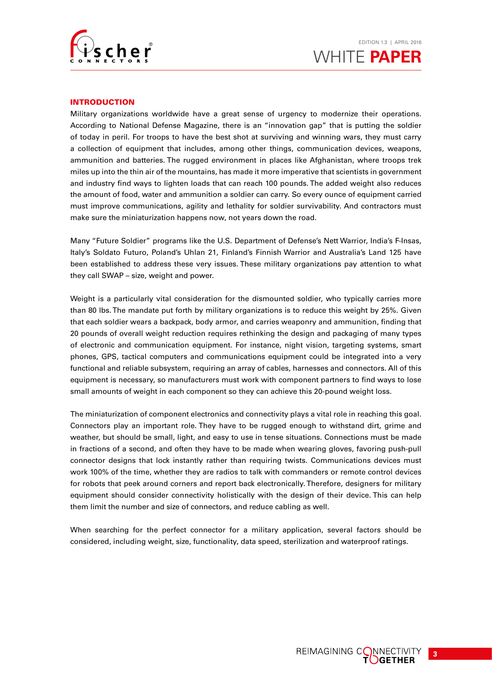

# INTRODUCTION

Military organizations worldwide have a great sense of urgency to modernize their operations. According to National Defense Magazine, there is an "innovation gap" that is putting the soldier of today in peril. For troops to have the best shot at surviving and winning wars, they must carry a collection of equipment that includes, among other things, communication devices, weapons, ammunition and batteries. The rugged environment in places like Afghanistan, where troops trek miles up into the thin air of the mountains, has made it more imperative that scientists in government and industry find ways to lighten loads that can reach 100 pounds. The added weight also reduces the amount of food, water and ammunition a soldier can carry. So every ounce of equipment carried must improve communications, agility and lethality for soldier survivability. And contractors must make sure the miniaturization happens now, not years down the road.

Many "Future Soldier" programs like the U.S. Department of Defense's Nett Warrior, India's F-Insas, Italy's Soldato Futuro, Poland's Uhlan 21, Finland's Finnish Warrior and Australia's Land 125 have been established to address these very issues. These military organizations pay attention to what they call SWAP – size, weight and power.

Weight is a particularly vital consideration for the dismounted soldier, who typically carries more than 80 lbs. The mandate put forth by military organizations is to reduce this weight by 25%. Given that each soldier wears a backpack, body armor, and carries weaponry and ammunition, finding that 20 pounds of overall weight reduction requires rethinking the design and packaging of many types of electronic and communication equipment. For instance, night vision, targeting systems, smart phones, GPS, tactical computers and communications equipment could be integrated into a very functional and reliable subsystem, requiring an array of cables, harnesses and connectors. All of this equipment is necessary, so manufacturers must work with component partners to find ways to lose small amounts of weight in each component so they can achieve this 20-pound weight loss.

The miniaturization of component electronics and connectivity plays a vital role in reaching this goal. Connectors play an important role. They have to be rugged enough to withstand dirt, grime and weather, but should be small, light, and easy to use in tense situations. Connections must be made in fractions of a second, and often they have to be made when wearing gloves, favoring push-pull connector designs that lock instantly rather than requiring twists. Communications devices must work 100% of the time, whether they are radios to talk with commanders or remote control devices for robots that peek around corners and report back electronically. Therefore, designers for military equipment should consider connectivity holistically with the design of their device. This can help them limit the number and size of connectors, and reduce cabling as well.

When searching for the perfect connector for a military application, several factors should be considered, including weight, size, functionality, data speed, sterilization and waterproof ratings.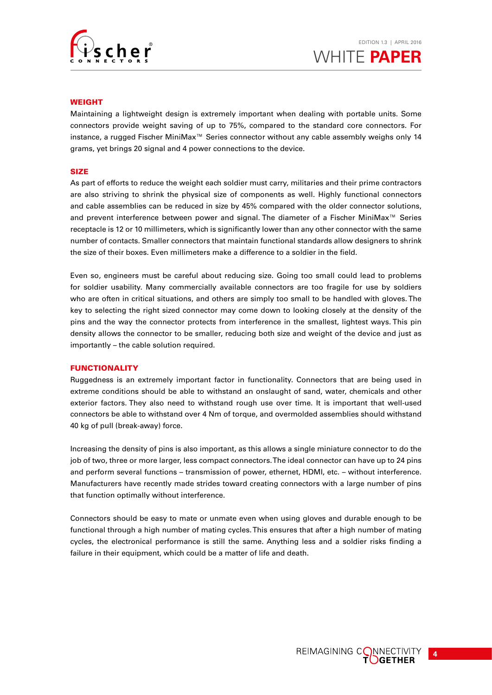

## WEIGHT

Maintaining a lightweight design is extremely important when dealing with portable units. Some connectors provide weight saving of up to 75%, compared to the standard core connectors. For instance, a rugged Fischer MiniMax™ Series connector without any cable assembly weighs only 14 grams, yet brings 20 signal and 4 power connections to the device.

#### SIZE

As part of efforts to reduce the weight each soldier must carry, militaries and their prime contractors are also striving to shrink the physical size of components as well. Highly functional connectors and cable assemblies can be reduced in size by 45% compared with the older connector solutions, and prevent interference between power and signal. The diameter of a Fischer MiniMax™ Series receptacle is 12 or 10 millimeters, which is significantly lower than any other connector with the same number of contacts. Smaller connectors that maintain functional standards allow designers to shrink the size of their boxes. Even millimeters make a difference to a soldier in the field.

Even so, engineers must be careful about reducing size. Going too small could lead to problems for soldier usability. Many commercially available connectors are too fragile for use by soldiers who are often in critical situations, and others are simply too small to be handled with gloves. The key to selecting the right sized connector may come down to looking closely at the density of the pins and the way the connector protects from interference in the smallest, lightest ways. This pin density allows the connector to be smaller, reducing both size and weight of the device and just as importantly – the cable solution required.

#### FUNCTIONALITY

Ruggedness is an extremely important factor in functionality. Connectors that are being used in extreme conditions should be able to withstand an onslaught of sand, water, chemicals and other exterior factors. They also need to withstand rough use over time. It is important that well-used connectors be able to withstand over 4 Nm of torque, and overmolded assemblies should withstand 40 kg of pull (break-away) force.

Increasing the density of pins is also important, as this allows a single miniature connector to do the job of two, three or more larger, less compact connectors. The ideal connector can have up to 24 pins and perform several functions – transmission of power, ethernet, HDMI, etc. – without interference. Manufacturers have recently made strides toward creating connectors with a large number of pins that function optimally without interference.

Connectors should be easy to mate or unmate even when using gloves and durable enough to be functional through a high number of mating cycles. This ensures that after a high number of mating cycles, the electronical performance is still the same. Anything less and a soldier risks finding a failure in their equipment, which could be a matter of life and death.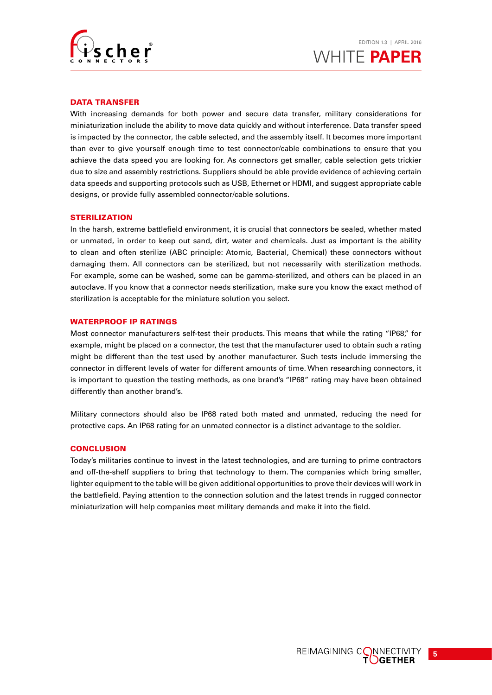

# DATA TRANSFER

With increasing demands for both power and secure data transfer, military considerations for miniaturization include the ability to move data quickly and without interference. Data transfer speed is impacted by the connector, the cable selected, and the assembly itself. It becomes more important than ever to give yourself enough time to test connector/cable combinations to ensure that you achieve the data speed you are looking for. As connectors get smaller, cable selection gets trickier due to size and assembly restrictions. Suppliers should be able provide evidence of achieving certain data speeds and supporting protocols such as USB, Ethernet or HDMI, and suggest appropriate cable designs, or provide fully assembled connector/cable solutions.

#### **STERILIZATION**

In the harsh, extreme battlefield environment, it is crucial that connectors be sealed, whether mated or unmated, in order to keep out sand, dirt, water and chemicals. Just as important is the ability to clean and often sterilize (ABC principle: Atomic, Bacterial, Chemical) these connectors without damaging them. All connectors can be sterilized, but not necessarily with sterilization methods. For example, some can be washed, some can be gamma-sterilized, and others can be placed in an autoclave. If you know that a connector needs sterilization, make sure you know the exact method of sterilization is acceptable for the miniature solution you select.

#### WATERPROOF IP RATINGS

Most connector manufacturers self-test their products. This means that while the rating "IP68," for example, might be placed on a connector, the test that the manufacturer used to obtain such a rating might be different than the test used by another manufacturer. Such tests include immersing the connector in different levels of water for different amounts of time. When researching connectors, it is important to question the testing methods, as one brand's "IP68" rating may have been obtained differently than another brand's.

Military connectors should also be IP68 rated both mated and unmated, reducing the need for protective caps. An IP68 rating for an unmated connector is a distinct advantage to the soldier.

#### **CONCLUSION**

Today's militaries continue to invest in the latest technologies, and are turning to prime contractors and off-the-shelf suppliers to bring that technology to them. The companies which bring smaller, lighter equipment to the table will be given additional opportunities to prove their devices will work in the battlefield. Paying attention to the connection solution and the latest trends in rugged connector miniaturization will help companies meet military demands and make it into the field.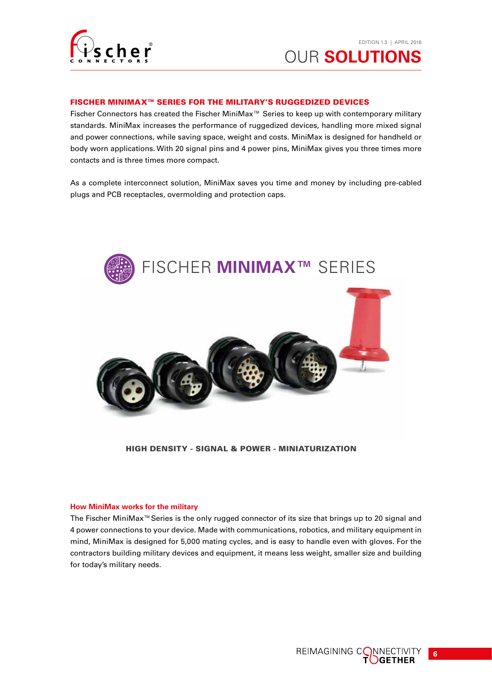

# FISCHER MINIMAX™ SERIES FOR THE MILITARY'S RUGGEDIZED DEVICES

Fischer Connectors has created the Fischer MiniMax™ Series to keep up with contemporary military standards. MiniMax increases the performance of ruggedized devices, handling more mixed signal and power connections, while saving space, weight and costs. MiniMax is designed for handheld or body worn applications. With 20 signal pins and 4 power pins, MiniMax gives you three times more contacts and is three times more compact.

As a complete interconnect solution, MiniMax saves you time and money by including pre-cabled plugs and PCB receptacles, overmolding and protection caps.



HIGH DENSITY - SIGNAL & POWER - MINIATURIZATION

#### **How MiniMax works for the military**

The Fischer MiniMax™Series is the only rugged connector of its size that brings up to 20 signal and 4 power connections to your device. Made with communications, robotics, and military equipment in mind, MiniMax is designed for 5,000 mating cycles, and is easy to handle even with gloves. For the contractors building military devices and equipment, it means less weight, smaller size and building for today's military needs.



**6**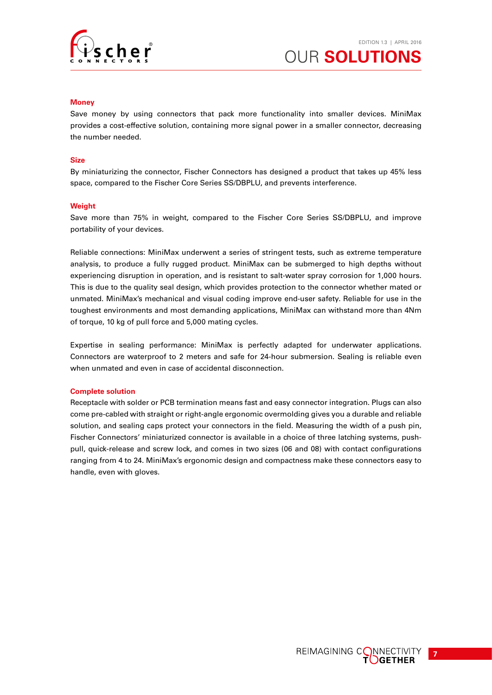

## **Money**

Save money by using connectors that pack more functionality into smaller devices. MiniMax provides a cost-effective solution, containing more signal power in a smaller connector, decreasing the number needed.

# **Size**

By miniaturizing the connector, Fischer Connectors has designed a product that takes up 45% less space, compared to the Fischer Core Series SS/DBPLU, and prevents interference.

# **Weight**

Save more than 75% in weight, compared to the Fischer Core Series SS/DBPLU, and improve portability of your devices.

Reliable connections: MiniMax underwent a series of stringent tests, such as extreme temperature analysis, to produce a fully rugged product. MiniMax can be submerged to high depths without experiencing disruption in operation, and is resistant to salt-water spray corrosion for 1,000 hours. This is due to the quality seal design, which provides protection to the connector whether mated or unmated. MiniMax's mechanical and visual coding improve end-user safety. Reliable for use in the toughest environments and most demanding applications, MiniMax can withstand more than 4Nm of torque, 10 kg of pull force and 5,000 mating cycles.

Expertise in sealing performance: MiniMax is perfectly adapted for underwater applications. Connectors are waterproof to 2 meters and safe for 24-hour submersion. Sealing is reliable even when unmated and even in case of accidental disconnection.

#### **Complete solution**

Receptacle with solder or PCB termination means fast and easy connector integration. Plugs can also come pre-cabled with straight or right-angle ergonomic overmolding gives you a durable and reliable solution, and sealing caps protect your connectors in the field. Measuring the width of a push pin, Fischer Connectors' miniaturized connector is available in a choice of three latching systems, pushpull, quick-release and screw lock, and comes in two sizes (06 and 08) with contact configurations ranging from 4 to 24. MiniMax's ergonomic design and compactness make these connectors easy to handle, even with gloves.



**7**